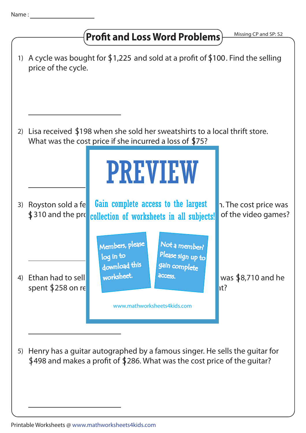